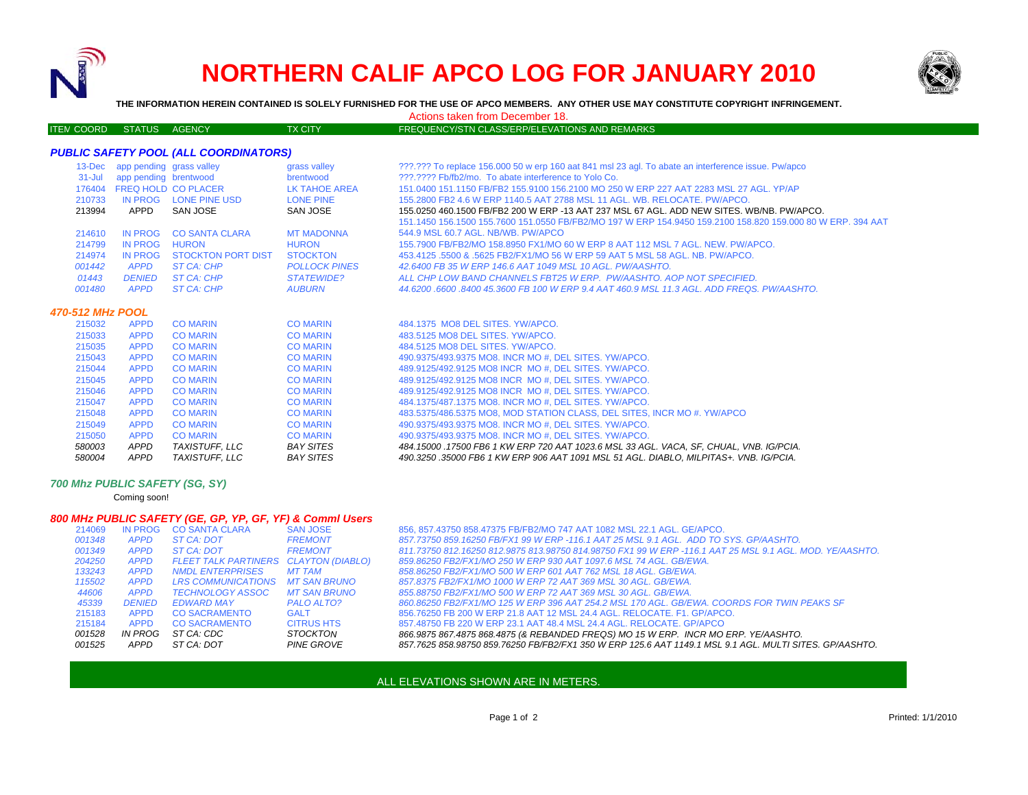

# **NORTHERN CALIF APCO LOG FOR JANUARY 2010**



**THE INFORMATION HEREIN CONTAINED IS SOLELY FURNISHED FOR THE USE OF APCO MEMBERS. ANY OTHER USE MAY CONSTITUTE COPYRIGHT INFRINGEMENT.**

Actions taken from December 18.

#### ITEM COORD STATUS AGENCY TX CITY FREQUENCY/STN CLASS/ERP/ELEVATIONS AND REMARKS

## *PUBLIC SAFETY POOL (ALL COORDINATORS)*

|                  | 13-Dec app pending grass valley |                            | grass valley         | 222.222 To replace 156.000 50 w erp 160 aat 841 msl 23 agl. To abate an interference issue. Pw/apco         |
|------------------|---------------------------------|----------------------------|----------------------|-------------------------------------------------------------------------------------------------------------|
|                  | 31-Jul app pending brentwood    |                            | brentwood            | 222.2222 Fb/fb2/mo. To abate interference to Yolo Co.                                                       |
|                  |                                 | 176404 FREQ HOLD CO PLACER | LK TAHOE AREA        | 151,0400 151,1150 FB/FB2 155,9100 156,2100 MO 250 W ERP 227 AAT 2283 MSL 27 AGL, YP/AP                      |
| 210733           |                                 | IN PROG LONE PINE USD      | <b>LONE PINE</b>     | 155,2800 FB2 4.6 W ERP 1140.5 AAT 2788 MSL 11 AGL, WB, RELOCATE, PW/APCO,                                   |
| 213994           | APPD                            | SAN JOSE                   | SAN JOSE             | 155,0250 460,1500 FB/FB2 200 W ERP -13 AAT 237 MSL 67 AGL. ADD NEW SITES, WB/NB, PW/APCO,                   |
|                  |                                 |                            |                      | 151.1450 156.1500 155.7600 151.0550 FB/FB2/MO 197 W ERP 154.9450 159.2100 158.820 159.000 80 W ERP. 394 AAT |
| 214610           | IN PROG                         | <b>CO SANTA CLARA</b>      | <b>MT MADONNA</b>    | 544.9 MSL 60.7 AGL, NB/WB, PW/APCO                                                                          |
| 214799           | IN PROG                         | <b>HURON</b>               | <b>HURON</b>         | 155.7900 FB/FB2/MO 158.8950 FX1/MO 60 W ERP 8 AAT 112 MSL 7 AGL, NEW, PW/APCO,                              |
| 214974           | IN PROG                         | <b>STOCKTON PORT DIST</b>  | <b>STOCKTON</b>      | 453.4125 .5500 & .5625 FB2/FX1/MO 56 W ERP 59 AAT 5 MSL 58 AGL, NB, PW/APCO,                                |
| 001442           | <b>APPD</b>                     | ST CA: CHP                 | <b>POLLOCK PINES</b> | 42.6400 FB 35 W ERP 146.6 AAT 1049 MSL 10 AGL. PW/AASHTO.                                                   |
| 01443            | <b>DENIED</b>                   | ST CA: CHP                 | <b>STATEWIDE?</b>    | ALL CHP LOW BAND CHANNELS FBT25 W ERP. PW/AASHTO, AOP NOT SPECIFIED.                                        |
| 001480           | <b>APPD</b>                     | ST CA: CHP                 | <b>AUBURN</b>        | 44.6200.6600.8400 45.3600 FB 100 W ERP 9.4 AAT 460.9 MSL 11.3 AGL. ADD FREQS. PW/AASHTO.                    |
| 470-512 MHz POOL |                                 |                            |                      |                                                                                                             |
| 215032           | <b>APPD</b>                     | <b>CO MARIN</b>            | <b>CO MARIN</b>      | 484.1375 MO8 DEL SITES, YW/APCO.                                                                            |
| 215033           | <b>APPD</b>                     | <b>CO MARIN</b>            | <b>CO MARIN</b>      | 483.5125 MO8 DEL SITES, YW/APCO.                                                                            |
| 215035           | <b>APPD</b>                     | <b>CO MARIN</b>            | <b>CO MARIN</b>      | 484.5125 MO8 DEL SITES, YW/APCO.                                                                            |
| 215043           | <b>APPD</b>                     | <b>CO MARIN</b>            | <b>CO MARIN</b>      | 490.9375/493.9375 MO8. INCR MO #. DEL SITES. YW/APCO.                                                       |
| 215044           | <b>APPD</b>                     | <b>CO MARIN</b>            | <b>CO MARIN</b>      | 489.9125/492.9125 MO8 INCR MO#, DEL SITES. YW/APCO.                                                         |
| 215045           | <b>APPD</b>                     | <b>CO MARIN</b>            | <b>CO MARIN</b>      | 489.9125/492.9125 MO8 INCR MO#, DEL SITES. YW/APCO.                                                         |
| 215046           | <b>APPD</b>                     | <b>CO MARIN</b>            | <b>CO MARIN</b>      | 489.9125/492.9125 MO8 INCR MO#, DEL SITES. YW/APCO.                                                         |
| 215047           | <b>APPD</b>                     | <b>CO MARIN</b>            | <b>CO MARIN</b>      | 484.1375/487.1375 MO8. INCR MO #, DEL SITES, YW/APCO.                                                       |
| 215048           | <b>APPD</b>                     | <b>CO MARIN</b>            | <b>CO MARIN</b>      | 483.5375/486.5375 MO8, MOD STATION CLASS, DEL SITES, INCR MO #. YW/APCO                                     |
| 215049           | <b>APPD</b>                     | <b>CO MARIN</b>            | <b>CO MARIN</b>      | 490.9375/493.9375 MO8. INCR MO #, DEL SITES. YW/APCO.                                                       |
| 215050           | <b>APPD</b>                     | <b>CO MARIN</b>            | <b>CO MARIN</b>      | 490.9375/493.9375 MO8. INCR MO #, DEL SITES. YW/APCO.                                                       |
| 580003           | <b>APPD</b>                     | <b>TAXISTUFF. LLC</b>      | <b>BAY SITES</b>     | 484.15000 .17500 FB6 1 KW ERP 720 AAT 1023.6 MSL 33 AGL. VACA. SF. CHUAL. VNB. IG/PCIA.                     |
| 580004           | <b>APPD</b>                     | <b>TAXISTUFF. LLC</b>      | <b>BAY SITES</b>     | 490.3250.35000 FB6 1 KW ERP 906 AAT 1091 MSL 51 AGL. DIABLO. MILPITAS+. VNB. IG/PCIA.                       |

#### *700 Mhz PUBLIC SAFETY (SG, SY)*

Coming soon!

### *800 MHz PUBLIC SAFETY (GE, GP, YP, GF, YF) & Comml Users*

| 214069 | <b>IN PROG</b> | <b>CO SANTA CLARA</b>       | <b>SAN JOSE</b>         |
|--------|----------------|-----------------------------|-------------------------|
| 001348 | <b>APPD</b>    | ST CA: DOT                  | <b>FREMONT</b>          |
| 001349 | <b>APPD</b>    | ST CA: DOT                  | <b>FREMONT</b>          |
| 204250 | <b>APPD</b>    | <b>FLEET TALK PARTINERS</b> | <b>CLAYTON (DIABLO)</b> |
| 133243 | <b>APPD</b>    | <b>NMDL ENTERPRISES</b>     | <b>MT TAM</b>           |
| 115502 | <b>APPD</b>    | <b>LRS COMMUNICATIONS</b>   | <b>MT SAN BRUNO</b>     |
| 44606  | <b>APPD</b>    | <b>TECHNOLOGY ASSOC</b>     | <b>MT SAN BRUNO</b>     |
| 45339  | <b>DENIED</b>  | <b>EDWARD MAY</b>           | PALO ALTO?              |
| 215183 | <b>APPD</b>    | <b>CO SACRAMENTO</b>        | <b>GALT</b>             |
| 215184 | <b>APPD</b>    | <b>CO SACRAMENTO</b>        | <b>CITRUS HTS</b>       |
| 001528 | <b>IN PROG</b> | ST CA: CDC                  | <b>STOCKTON</b>         |
| 001525 | <b>APPD</b>    | ST CA: DOT                  | <b>PINE GROVE</b>       |

856, 857.43750 858.47375 FB/FB2/MO 747 AAT 1082 MSL 22.1 AGL. GE/APCO. *FREMONT 857.73750 859.16250 FB/FX1 99 W ERP -116.1 AAT 25 MSL 9.1 AGL. ADD TO SYS. GP/AASHTO. FREMONT 811.73750 812.16250 812.9875 813.98750 814.98750 FX1 99 W ERP -116.1 AAT 25 MSL 9.1 AGL. MOD. YE/AASHTO. APPD FLEET TALK PARTINERS CLAYTON (DIABLO) 859.86250 FB2/FX1/MO 250 W ERP 930 AAT 1097.6 MSL 74 AGL. GB/EWA. APPD NMDL ENTERPRISES MT TAM 858.86250 FB2/FX1/MO 500 W ERP 601 AAT 762 MSL 18 AGL. GB/EWA. MT SAN BRUNO 857.8375 FB2/FX1/MO 1000 W ERP 72 AAT 369 MSL 30 AGL. GB/EWA. MT SAN BRUNO 855.88750 FB2/FX1/MO 500 W ERP 72 AAT 369 MSL 30 AGL. GB/EWA. 860.86250 FB2/FX1/MO 125 W ERP 396 AAT 254.2 MSL 170 AGL. GB/EWA. COORDS FOR TWIN PEAKS SF* 215183 APPD CO SACRAMENTO GALT 856.76250 FB 200 W ERP 21.8 AAT 12 MSL 24.4 AGL. RELOCATE. F1. GP/APCO. 857.48750 FB 220 W ERP 23.1 AAT 48.4 MSL 24.4 AGL. RELOCATE. GP/APCO *866.9875 867.4875 868.4875 (& REBANDED FREQS) MO 15 W ERP. INCR MO ERP. YE/AASHTO. 857.7625 858.98750 859.76250 FB/FB2/FX1 350 W ERP 125.6 AAT 1149.1 MSL 9.1 AGL. MULTI SITES. GP/AASHTO.*

# ALL ELEVATIONS SHOWN ARE IN METERS.